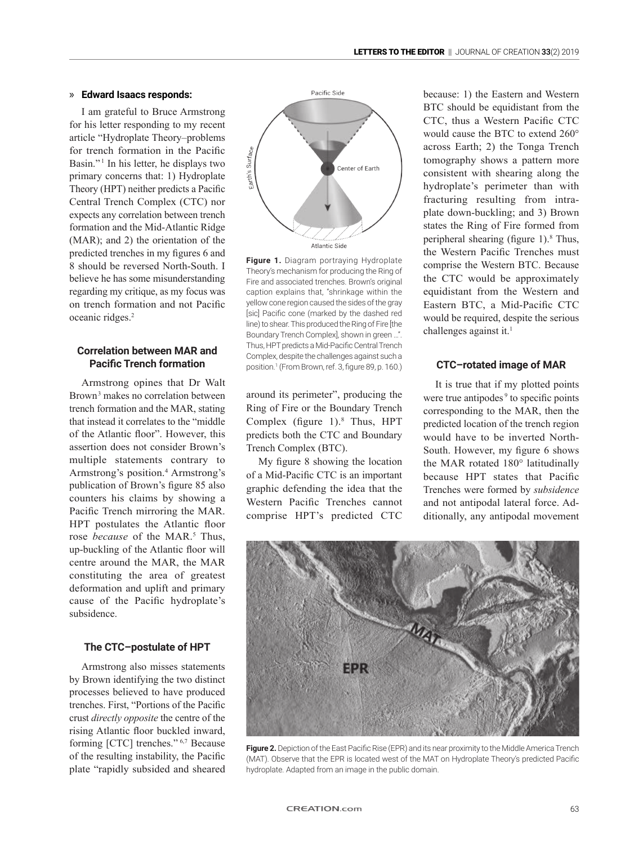#### » **Edward Isaacs responds:**

I am grateful to Bruce Armstrong for his letter responding to my recent article "Hydroplate Theory–problems for trench formation in the Pacific Basin."<sup>1</sup> In his letter, he displays two primary concerns that: 1) Hydroplate Theory (HPT) neither predicts a Pacific Central Trench Complex (CTC) nor expects any correlation between trench formation and the Mid-Atlantic Ridge (MAR); and 2) the orientation of the predicted trenches in my figures 6 and 8 should be reversed North-South. I believe he has some misunderstanding regarding my critique, as my focus was on trench formation and not Pacific oceanic ridges.2

# **Correlation between MAR and Pacific Trench formation**

Armstrong opines that Dr Walt Brown<sup>3</sup> makes no correlation between trench formation and the MAR, stating that instead it correlates to the "middle of the Atlantic floor". However, this assertion does not consider Brown's multiple statements contrary to Armstrong's position.<sup>4</sup> Armstrong's publication of Brown's figure 85 also counters his claims by showing a Pacific Trench mirroring the MAR. HPT postulates the Atlantic floor rose *because* of the MAR.<sup>5</sup> Thus, up-buckling of the Atlantic floor will centre around the MAR, the MAR constituting the area of greatest deformation and uplift and primary cause of the Pacific hydroplate's subsidence.

### **The CTC–postulate of HPT**

Armstrong also misses statements by Brown identifying the two distinct processes believed to have produced trenches. First, "Portions of the Pacific crust *directly opposite* the centre of the rising Atlantic floor buckled inward, forming [CTC] trenches." 6,7 Because of the resulting instability, the Pacific plate "rapidly subsided and sheared



**Figure 1.** Diagram portraying Hydroplate Theory's mechanism for producing the Ring of Fire and associated trenches. Brown's original caption explains that, "shrinkage within the yellow cone region caused the sides of the gray [sic] Pacific cone (marked by the dashed red line) to shear. This produced the Ring of Fire [the Boundary Trench Complex], shown in green …". Thus, HPT predicts a Mid-Pacific Central Trench Complex, despite the challenges against such a position.<sup>1</sup> (From Brown, ref. 3, figure 89, p. 160.)

around its perimeter", producing the Ring of Fire or the Boundary Trench Complex (figure 1).<sup>8</sup> Thus, HPT predicts both the CTC and Boundary Trench Complex (BTC).

My figure 8 showing the location of a Mid-Pacific CTC is an important graphic defending the idea that the Western Pacific Trenches cannot comprise HPT's predicted CTC because: 1) the Eastern and Western BTC should be equidistant from the CTC, thus a Western Pacific CTC would cause the BTC to extend 260° across Earth; 2) the Tonga Trench tomography shows a pattern more consistent with shearing along the hydroplate's perimeter than with fracturing resulting from intraplate down-buckling; and 3) Brown states the Ring of Fire formed from peripheral shearing (figure 1).<sup>8</sup> Thus, the Western Pacific Trenches must comprise the Western BTC. Because the CTC would be approximately equidistant from the Western and Eastern BTC, a Mid-Pacific CTC would be required, despite the serious challenges against it.<sup>1</sup>

## **CTC–rotated image of MAR**

It is true that if my plotted points were true antipodes<sup>9</sup> to specific points corresponding to the MAR, then the predicted location of the trench region would have to be inverted North-South. However, my figure 6 shows the MAR rotated 180° latitudinally because HPT states that Pacific Trenches were formed by *subsidence* and not antipodal lateral force. Additionally, any antipodal movement



Figure 2. Depiction of the East Pacific Rise (EPR) and its near proximity to the Middle America Trench (MAT). Observe that the EPR is located west of the MAT on Hydroplate Theory's predicted Pacific hydroplate. Adapted from an image in the public domain.